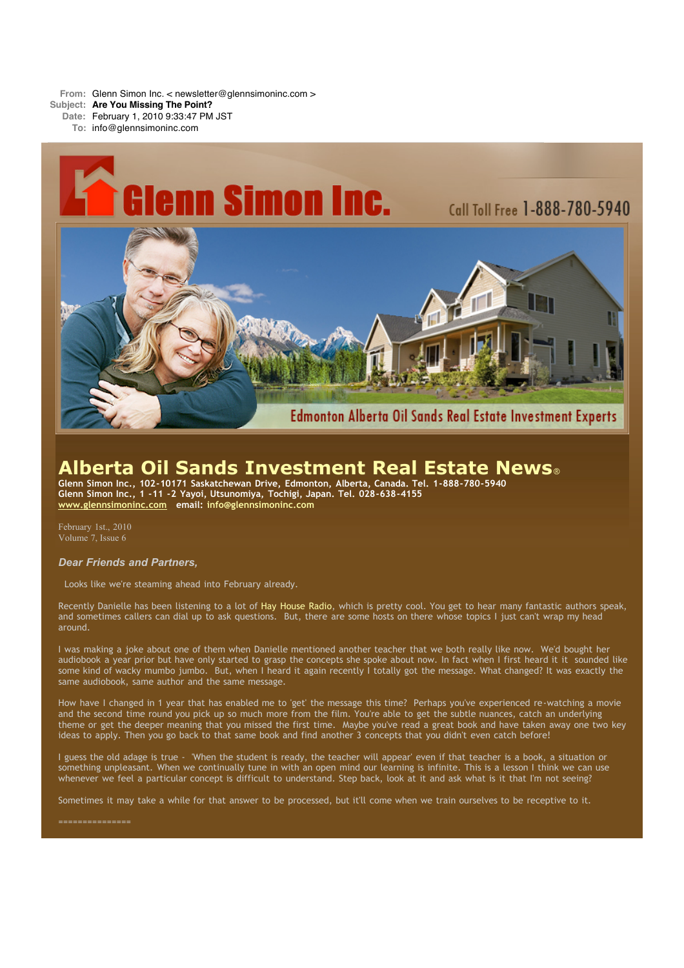**From:** Glenn Simon Inc. < newsletter@glennsimoninc.com >

**Subject: Are You Missing The Point?**

**Date:** February 1, 2010 9:33:47 PM JST

**To:** info@glennsimoninc.com



# **Alberta Oil Sands Investment Real Estate News**®

**Glenn Simon Inc., 102-10171 Saskatchewan Drive, Edmonton, Alberta, Canada. Tel. 1-888-780-5940 Glenn Simon Inc., 1 -11 -2 Yayoi, Utsunomiya, Tochigi, Japan. Tel. 028-638-4155 [www.glennsimoninc.com](http://www.glennsimoninc.com/) email: [info@glennsimoninc.com](mailto:info@glennsimoninc.com)**

February 1st., 2010 Volume 7, Issue 6

#### *Dear Friends and Partners,*

Looks like we're steaming ahead into February already.

Recently Danielle has been listening to a lot of Hay [House](http://www.hayhouseradio.com/) Radio, which is pretty cool. You get to hear many fantastic authors speak, and sometimes callers can dial up to ask questions. But, there are some hosts on there whose topics I just can't wrap my head around.

I was making a joke about one of them when Danielle mentioned another teacher that we both really like now. We'd bought her audiobook a year prior but have only started to grasp the concepts she spoke about now. In fact when I first heard it it sounded like some kind of wacky mumbo jumbo. But, when I heard it again recently I totally got the message. What changed? It was exactly the same audiobook, same author and the same message.

How have I changed in 1 year that has enabled me to 'get' the message this time? Perhaps you've experienced re-watching a movie and the second time round you pick up so much more from the film. You're able to get the subtle nuances, catch an underlying theme or get the deeper meaning that you missed the first time. Maybe you've read a great book and have taken away one two key ideas to apply. Then you go back to that same book and find another 3 concepts that you didn't even catch before!

I guess the old adage is true - 'When the student is ready, the teacher will appear' even if that teacher is a book, a situation or something unpleasant. When we continually tune in with an open mind our learning is infinite. This is a lesson I think we can use whenever we feel a particular concept is difficult to understand. Step back, look at it and ask what is it that I'm not seeing?

Sometimes it may take a while for that answer to be processed, but it'll come when we train ourselves to be receptive to it.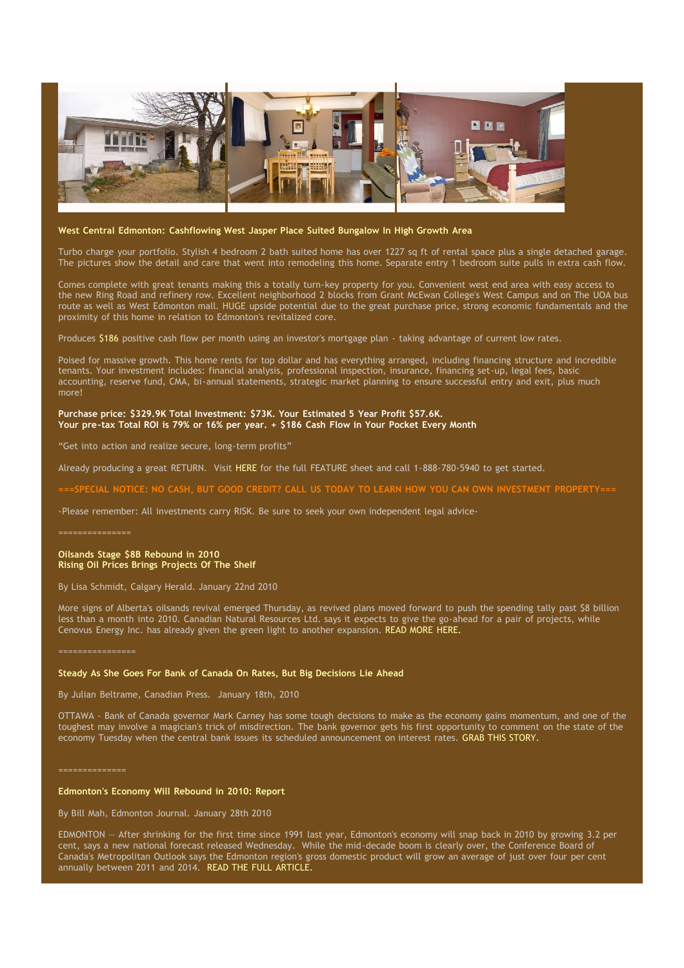

#### **West Central Edmonton: Cashflowing West Jasper Place Suited Bungalow In High Growth Area**

Turbo charge your portfolio. Stylish 4 bedroom 2 bath suited home has over 1227 sq ft of rental space plus a single detached garage. The pictures show the detail and care that went into remodeling this home. Separate entry 1 bedroom suite pulls in extra cash flow.

Comes complete with great tenants making this a totally turn-key property for you. Convenient west end area with easy access to the new Ring Road and refinery row. Excellent neighborhood 2 blocks from Grant McEwan College's West Campus and on The UOA bus route as well as West Edmonton mall. HUGE upside potential due to the great purchase price, strong economic fundamentals and the proximity of this home in relation to Edmonton's revitalized core.

Produces \$186 positive cash flow per month using an investor's mortgage plan - taking advantage of current low rates.

Poised for massive growth. This home rents for top dollar and has everything arranged, including financing structure and incredible tenants. Your investment includes: financial analysis, professional inspection, insurance, financing set-up, legal fees, basic accounting, reserve fund, CMA, bi-annual statements, strategic market planning to ensure successful entry and exit, plus much more!

#### **Purchase price: \$329.9K Total [Investment:](http://www.glennsimoninc.com/featured_detail.php?id=70) \$73K. Your Estimated 5 Year Profit \$57.6K. Your pre-tax Total ROI is 79% or 16% per year. + \$186 Cash Flow in Your Pocket Every Month**

"Get into action and realize secure, long-term profits"

Already producing a great RETURN. Visit [HERE](http://www.glennsimoninc.com/featured_detail.php?id=70) for the full FEATURE sheet and call 1-888-780-5940 to get started.

CIAL NOTICE: NO CASH, BUT GOOD CREDIT? CALL US TODAY TO LEARN HOW YOU CAN OWN INVESTMENT PROPERTY:

-Please remember: All investments carry RISK. Be sure to seek your own independent legal advice-

**Oilsands Stage \$8B Rebound in 2010 Rising Oil Prices Brings Projects Of The Shelf**

By Lisa Schmidt, Calgary Herald. January 22nd 2010

More signs of Alberta's oilsands revival emerged Thursday, as revived plans moved forward to push the spending tally past \$8 billion less than a month into 2010. Canadian Natural Resources Ltd. says it expects to give the go-ahead for a pair of projects, while Cenovus Energy Inc. has already given the green light to another expansion. READ MORE [HERE.](http://www.calgaryherald.com/business/energy-resources/Oilsands+stage+rebound+2010/2471567/story.html)

#### **Steady As She Goes For Bank of Canada On Rates, But Big Decisions Lie Ahead**

By Julian Beltrame, Canadian Press. January 18th, 2010

OTTAWA - Bank of Canada governor Mark Carney has some tough decisions to make as the economy gains momentum, and one of the toughest may involve a magician's trick of misdirection. The bank governor gets his first opportunity to comment on the state of the economy Tuesday when the central bank issues its scheduled announcement on interest rates. GRAB THIS [STORY.](http://www.winnipegfreepress.com/business/breakingnews/81990512.html)

==============

### **Edmonton's Economy Will Rebound in 2010: Report**

By Bill Mah, Edmonton Journal. January 28th 2010

EDMONTON — After shrinking for the first time since 1991 last year, Edmonton's economy will snap back in 2010 by growing 3.2 per cent, says a new national forecast released Wednesday. While the mid-decade boom is clearly over, the Conference Board of Canada's Metropolitan Outlook says the Edmonton region's gross domestic product will grow an average of just over four per cent annually between 2011 and 2014. READ THE FULL [ARTICLE.](http://www.edmontonjournal.com/business/Edmonton+economy+will+rebound+2010+report/2490843/story.html)